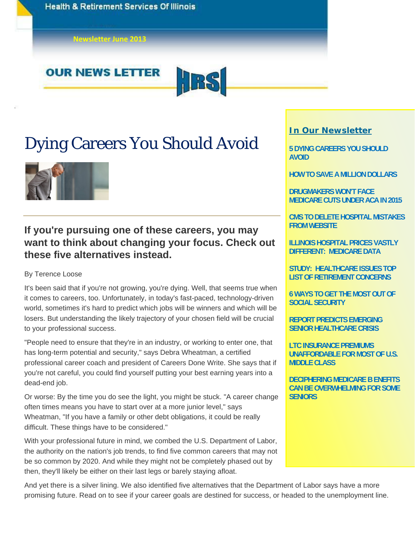

**Newsletter June 2013**

## **OUR NEWS LETTER**

## Dying Careers You Should Avoid

HBS



## **If you're pursuing one of these careers, you may want to think about changing your focus. Check out these five alternatives instead.**

#### By Terence Loose

It's been said that if you're not growing, you're dying. Well, that seems true when it comes to careers, too. Unfortunately, in today's fast-paced, technology-driven world, sometimes it's hard to predict which jobs will be winners and which will be losers. But understanding the likely trajectory of your chosen field will be crucial to your professional success.

"People need to ensure that they're in an industry, or working to enter one, that has long-term potential and security," says Debra Wheatman, a certified professional career coach and president of Careers Done Write. She says that if you're not careful, you could find yourself putting your best earning years into a dead-end job.

Or worse: By the time you do see the light, you might be stuck. "A career change often times means you have to start over at a more junior level," says Wheatman, "If you have a family or other debt obligations, it could be really difficult. These things have to be considered."

With your professional future in mind, we combed the U.S. Department of Labor, the authority on the nation's job trends, to find five common careers that may not be so common by 2020. And while they might not be completely phased out by then, they'll likely be either on their last legs or barely staying afloat.

#### **In Our Newsletter**

**5 DYING CAREERS YOU SHOULD AVOID** 

**HOW TO SAVE A MILLION DOLLARS** 

**DRUGMAKERS WON'T FACE MEDICARE CUTS UNDER ACA IN 2015** 

**CMS TO DELETE HOSPITAL MISTAKES FROM WEBSITE** 

**ILLINOIS HOSPITAL PRICES VASTLY DIFFERENT: MEDICARE DATA** 

**STUDY: HEALTHCARE ISSUES TOP LIST OF RETIREMENT CONCERNS** 

**6 WAYS TO GET THE MOST OUT OF SOCIAL SECURITY** 

**REPORT PREDICTS EMERGING SENIOR HEALTHCARE CRISIS** 

**LTC INSURANCE PREMIUMS UNAFFORDABLE FOR MOST OF U.S. MIDDLE CLASS** 

**DECIPHERING MEDICARE B ENEFITS CAN BE OVERWHELMING FOR SOME SENIORS**

And yet there is a silver lining. We also identified five alternatives that the Department of Labor says have a more promising future. Read on to see if your career goals are destined for success, or headed to the unemployment line.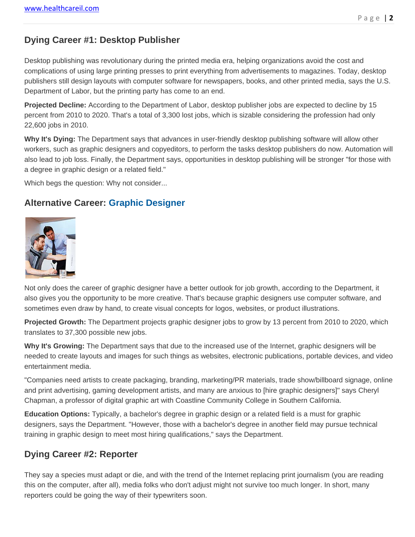## **Dying Career #1: Desktop Publisher**

Desktop publishing was revolutionary during the printed media era, helping organizations avoid the cost and complications of using large printing presses to print everything from advertisements to magazines. Today, desktop publishers still design layouts with computer software for newspapers, books, and other printed media, says the U.S. Department of Labor, but the printing party has come to an end.

**Projected Decline:** According to the Department of Labor, desktop publisher jobs are expected to decline by 15 percent from 2010 to 2020. That's a total of 3,300 lost jobs, which is sizable considering the profession had only 22,600 jobs in 2010.

**Why It's Dying:** The Department says that advances in user-friendly desktop publishing software will allow other workers, such as graphic designers and copyeditors, to perform the tasks desktop publishers do now. Automation will also lead to job loss. Finally, the Department says, opportunities in desktop publishing will be stronger "for those with a degree in graphic design or a related field."

Which begs the question: Why not consider...

## **Alternative Career: Graphic Designer**



Not only does the career of graphic designer have a better outlook for job growth, according to the Department, it also gives you the opportunity to be more creative. That's because graphic designers use computer software, and sometimes even draw by hand, to create visual concepts for logos, websites, or product illustrations.

**Projected Growth:** The Department projects graphic designer jobs to grow by 13 percent from 2010 to 2020, which translates to 37,300 possible new jobs.

**Why It's Growing:** The Department says that due to the increased use of the Internet, graphic designers will be needed to create layouts and images for such things as websites, electronic publications, portable devices, and video entertainment media.

"Companies need artists to create packaging, branding, marketing/PR materials, trade show/billboard signage, online and print advertising, gaming development artists, and many are anxious to [hire graphic designers]" says Cheryl Chapman, a professor of digital graphic art with Coastline Community College in Southern California.

**Education Options:** Typically, a bachelor's degree in graphic design or a related field is a must for graphic designers, says the Department. "However, those with a bachelor's degree in another field may pursue technical training in graphic design to meet most hiring qualifications," says the Department.

## **Dying Career #2: Reporter**

They say a species must adapt or die, and with the trend of the Internet replacing print journalism (you are reading this on the computer, after all), media folks who don't adjust might not survive too much longer. In short, many reporters could be going the way of their typewriters soon.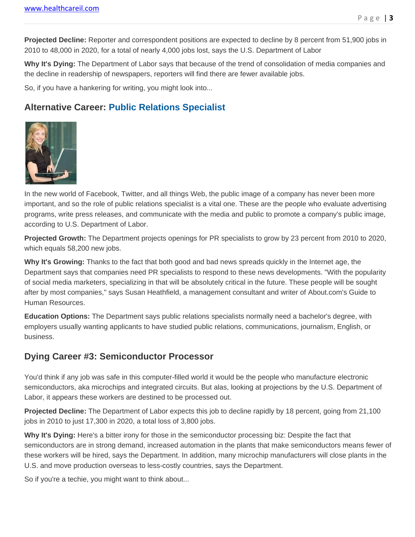**Projected Decline:** Reporter and correspondent positions are expected to decline by 8 percent from 51,900 jobs in 2010 to 48,000 in 2020, for a total of nearly 4,000 jobs lost, says the U.S. Department of Labor

**Why It's Dying:** The Department of Labor says that because of the trend of consolidation of media companies and the decline in readership of newspapers, reporters will find there are fewer available jobs.

So, if you have a hankering for writing, you might look into...

### **Alternative Career: Public Relations Specialist**



In the new world of Facebook, Twitter, and all things Web, the public image of a company has never been more important, and so the role of public relations specialist is a vital one. These are the people who evaluate advertising programs, write press releases, and communicate with the media and public to promote a company's public image, according to U.S. Department of Labor.

**Projected Growth:** The Department projects openings for PR specialists to grow by 23 percent from 2010 to 2020, which equals 58,200 new jobs.

**Why It's Growing:** Thanks to the fact that both good and bad news spreads quickly in the Internet age, the Department says that companies need PR specialists to respond to these news developments. "With the popularity of social media marketers, specializing in that will be absolutely critical in the future. These people will be sought after by most companies," says Susan Heathfield, a management consultant and writer of About.com's Guide to Human Resources.

**Education Options:** The Department says public relations specialists normally need a bachelor's degree, with employers usually wanting applicants to have studied public relations, communications, journalism, English, or business.

### **Dying Career #3: Semiconductor Processor**

You'd think if any job was safe in this computer-filled world it would be the people who manufacture electronic semiconductors, aka microchips and integrated circuits. But alas, looking at projections by the U.S. Department of Labor, it appears these workers are destined to be processed out.

**Projected Decline:** The Department of Labor expects this job to decline rapidly by 18 percent, going from 21,100 jobs in 2010 to just 17,300 in 2020, a total loss of 3,800 jobs.

**Why It's Dying:** Here's a bitter irony for those in the semiconductor processing biz: Despite the fact that semiconductors are in strong demand, increased automation in the plants that make semiconductors means fewer of these workers will be hired, says the Department. In addition, many microchip manufacturers will close plants in the U.S. and move production overseas to less-costly countries, says the Department.

So if you're a techie, you might want to think about...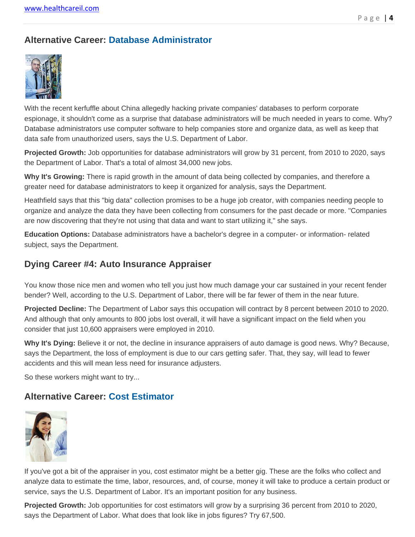## **Alternative Career: Database Administrator**



With the recent kerfuffle about China allegedly hacking private companies' databases to perform corporate espionage, it shouldn't come as a surprise that database administrators will be much needed in years to come. Why? Database administrators use computer software to help companies store and organize data, as well as keep that data safe from unauthorized users, says the U.S. Department of Labor.

**Projected Growth:** Job opportunities for database administrators will grow by 31 percent, from 2010 to 2020, says the Department of Labor. That's a total of almost 34,000 new jobs.

**Why It's Growing:** There is rapid growth in the amount of data being collected by companies, and therefore a greater need for database administrators to keep it organized for analysis, says the Department.

Heathfield says that this "big data" collection promises to be a huge job creator, with companies needing people to organize and analyze the data they have been collecting from consumers for the past decade or more. "Companies are now discovering that they're not using that data and want to start utilizing it," she says.

**Education Options:** Database administrators have a bachelor's degree in a computer- or information- related subject, says the Department.

### **Dying Career #4: Auto Insurance Appraiser**

You know those nice men and women who tell you just how much damage your car sustained in your recent fender bender? Well, according to the U.S. Department of Labor, there will be far fewer of them in the near future.

**Projected Decline:** The Department of Labor says this occupation will contract by 8 percent between 2010 to 2020. And although that only amounts to 800 jobs lost overall, it will have a significant impact on the field when you consider that just 10,600 appraisers were employed in 2010.

**Why It's Dying:** Believe it or not, the decline in insurance appraisers of auto damage is good news. Why? Because, says the Department, the loss of employment is due to our cars getting safer. That, they say, will lead to fewer accidents and this will mean less need for insurance adjusters.

So these workers might want to try...

### **Alternative Career: Cost Estimator**



If you've got a bit of the appraiser in you, cost estimator might be a better gig. These are the folks who collect and analyze data to estimate the time, labor, resources, and, of course, money it will take to produce a certain product or service, says the U.S. Department of Labor. It's an important position for any business.

**Projected Growth:** Job opportunities for cost estimators will grow by a surprising 36 percent from 2010 to 2020, says the Department of Labor. What does that look like in jobs figures? Try 67,500.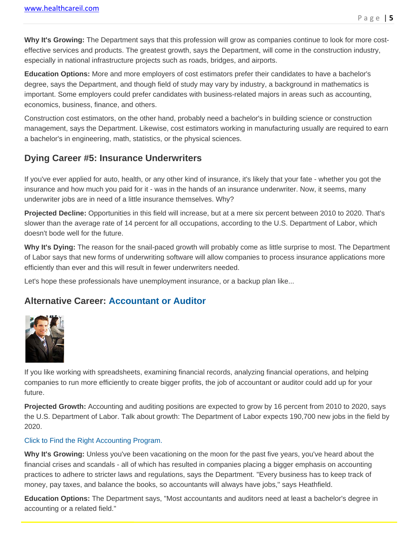**Why It's Growing:** The Department says that this profession will grow as companies continue to look for more costeffective services and products. The greatest growth, says the Department, will come in the construction industry, especially in national infrastructure projects such as roads, bridges, and airports.

**Education Options:** More and more employers of cost estimators prefer their candidates to have a bachelor's degree, says the Department, and though field of study may vary by industry, a background in mathematics is important. Some employers could prefer candidates with business-related majors in areas such as accounting, economics, business, finance, and others.

Construction cost estimators, on the other hand, probably need a bachelor's in building science or construction management, says the Department. Likewise, cost estimators working in manufacturing usually are required to earn a bachelor's in engineering, math, statistics, or the physical sciences.

## **Dying Career #5: Insurance Underwriters**

If you've ever applied for auto, health, or any other kind of insurance, it's likely that your fate - whether you got the insurance and how much you paid for it - was in the hands of an insurance underwriter. Now, it seems, many underwriter jobs are in need of a little insurance themselves. Why?

**Projected Decline:** Opportunities in this field will increase, but at a mere six percent between 2010 to 2020. That's slower than the average rate of 14 percent for all occupations, according to the U.S. Department of Labor, which doesn't bode well for the future.

**Why It's Dying:** The reason for the snail-paced growth will probably come as little surprise to most. The Department of Labor says that new forms of underwriting software will allow companies to process insurance applications more efficiently than ever and this will result in fewer underwriters needed.

Let's hope these professionals have unemployment insurance, or a backup plan like...

## **Alternative Career: Accountant or Auditor**



If you like working with spreadsheets, examining financial records, analyzing financial operations, and helping companies to run more efficiently to create bigger profits, the job of accountant or auditor could add up for your future.

**Projected Growth:** Accounting and auditing positions are expected to grow by 16 percent from 2010 to 2020, says the U.S. Department of Labor. Talk about growth: The Department of Labor expects 190,700 new jobs in the field by 2020.

#### Click to Find the Right Accounting Program.

**Why It's Growing:** Unless you've been vacationing on the moon for the past five years, you've heard about the financial crises and scandals - all of which has resulted in companies placing a bigger emphasis on accounting practices to adhere to stricter laws and regulations, says the Department. "Every business has to keep track of money, pay taxes, and balance the books, so accountants will always have jobs," says Heathfield.

**Education Options:** The Department says, "Most accountants and auditors need at least a bachelor's degree in accounting or a related field."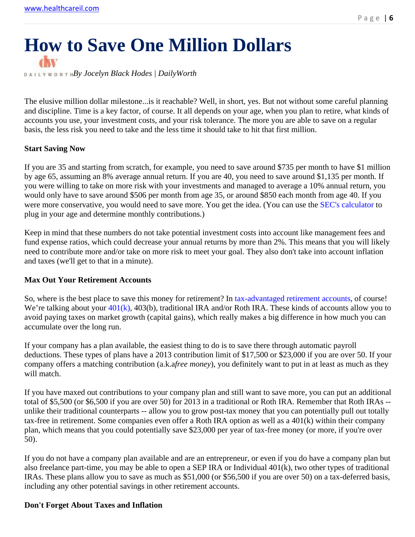# **How to Save One Million Dollars**

*By Jocelyn Black Hodes | DailyWorth* 

The elusive million dollar milestone...is it reachable? Well, in short, yes. But not without some careful planning and discipline. Time is a key factor, of course. It all depends on your age, when you plan to retire, what kinds of accounts you use, your investment costs, and your risk tolerance. The more you are able to save on a regular basis, the less risk you need to take and the less time it should take to hit that first million.

#### **Start Saving Now**

If you are 35 and starting from scratch, for example, you need to save around \$735 per month to have \$1 million by age 65, assuming an 8% average annual return. If you are 40, you need to save around \$1,135 per month. If you were willing to take on more risk with your investments and managed to average a 10% annual return, you would only have to save around \$506 per month from age 35, or around \$850 each month from age 40. If you were more conservative, you would need to save more. You get the idea. (You can use the SEC's calculator to plug in your age and determine monthly contributions.)

Keep in mind that these numbers do not take potential investment costs into account like management fees and fund expense ratios, which could decrease your annual returns by more than 2%. This means that you will likely need to contribute more and/or take on more risk to meet your goal. They also don't take into account inflation and taxes (we'll get to that in a minute).

#### **Max Out Your Retirement Accounts**

So, where is the best place to save this money for retirement? In tax-advantaged retirement accounts, of course! We're talking about your  $401(k)$ , 403(b), traditional IRA and/or Roth IRA. These kinds of accounts allow you to avoid paying taxes on market growth (capital gains), which really makes a big difference in how much you can accumulate over the long run.

If your company has a plan available, the easiest thing to do is to save there through automatic payroll deductions. These types of plans have a 2013 contribution limit of \$17,500 or \$23,000 if you are over 50. If your company offers a matching contribution (a.k.a*free money*), you definitely want to put in at least as much as they will match.

If you have maxed out contributions to your company plan and still want to save more, you can put an additional total of \$5,500 (or \$6,500 if you are over 50) for 2013 in a traditional or Roth IRA. Remember that Roth IRAs - unlike their traditional counterparts -- allow you to grow post-tax money that you can potentially pull out totally tax-free in retirement. Some companies even offer a Roth IRA option as well as a 401(k) within their company plan, which means that you could potentially save \$23,000 per year of tax-free money (or more, if you're over 50).

If you do not have a company plan available and are an entrepreneur, or even if you do have a company plan but also freelance part-time, you may be able to open a SEP IRA or Individual 401(k), two other types of traditional IRAs. These plans allow you to save as much as \$51,000 (or \$56,500 if you are over 50) on a tax-deferred basis, including any other potential savings in other retirement accounts.

#### **Don't Forget About Taxes and Inflation**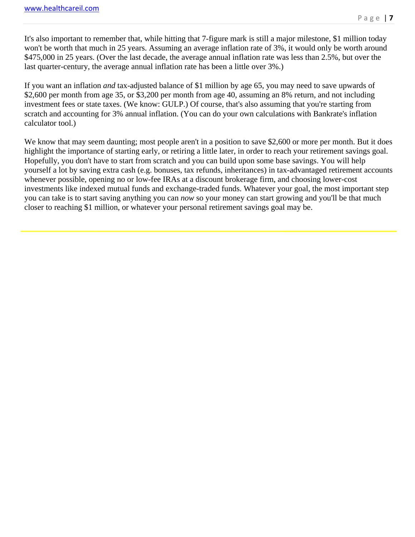It's also important to remember that, while hitting that 7-figure mark is still a major milestone, \$1 million today won't be worth that much in 25 years. Assuming an average inflation rate of 3%, it would only be worth around \$475,000 in 25 years. (Over the last decade, the average annual inflation rate was less than 2.5%, but over the last quarter-century, the average annual inflation rate has been a little over 3%.)

If you want an inflation *and* tax-adjusted balance of \$1 million by age 65, you may need to save upwards of \$2,600 per month from age 35, or \$3,200 per month from age 40, assuming an 8% return, and not including investment fees or state taxes. (We know: GULP.) Of course, that's also assuming that you're starting from scratch and accounting for 3% annual inflation. (You can do your own calculations with Bankrate's inflation calculator tool.)

We know that may seem daunting; most people aren't in a position to save \$2,600 or more per month. But it does highlight the importance of starting early, or retiring a little later, in order to reach your retirement savings goal. Hopefully, you don't have to start from scratch and you can build upon some base savings. You will help yourself a lot by saving extra cash (e.g. bonuses, tax refunds, inheritances) in tax-advantaged retirement accounts whenever possible, opening no or low-fee IRAs at a discount brokerage firm, and choosing lower-cost investments like indexed mutual funds and exchange-traded funds. Whatever your goal, the most important step you can take is to start saving anything you can *now* so your money can start growing and you'll be that much closer to reaching \$1 million, or whatever your personal retirement savings goal may be.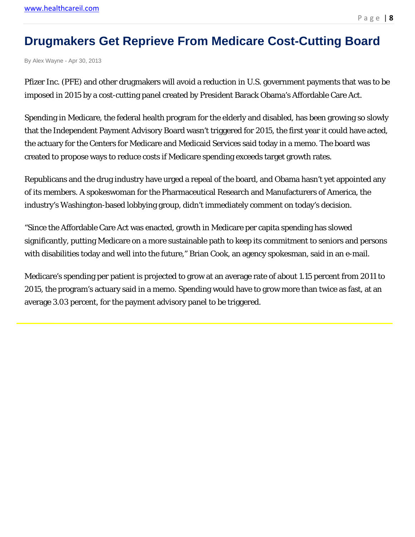## **Drugmakers Get Reprieve From Medicare Cost-Cutting Board**

By Alex Wayne - Apr 30, 2013

Pfizer Inc. (PFE) and other drugmakers will avoid a reduction in U.S. government payments that was to be imposed in 2015 by a cost-cutting panel created by President Barack Obama's Affordable Care Act.

Spending in Medicare, the federal health program for the elderly and disabled, has been growing so slowly that the Independent Payment Advisory Board wasn't triggered for 2015, the first year it could have acted, the actuary for the Centers for Medicare and Medicaid Services said today in a memo. The board was created to propose ways to reduce costs if Medicare spending exceeds target growth rates.

Republicans and the drug industry have urged a repeal of the board, and Obama hasn't yet appointed any of its members. A spokeswoman for the Pharmaceutical Research and Manufacturers of America, the industry's Washington-based lobbying group, didn't immediately comment on today's decision.

"Since the Affordable Care Act was enacted, growth in Medicare per capita spending has slowed significantly, putting Medicare on a more sustainable path to keep its commitment to seniors and persons with disabilities today and well into the future," Brian Cook, an agency spokesman, said in an e-mail.

Medicare's spending per patient is projected to grow at an average rate of about 1.15 percent from 2011 to 2015, the program's actuary said in a memo. Spending would have to grow more than twice as fast, at an average 3.03 percent, for the payment advisory panel to be triggered.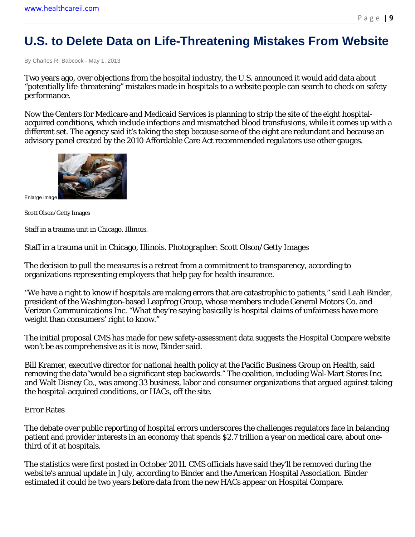## **U.S. to Delete Data on Life-Threatening Mistakes From Website**

By Charles R. Babcock - May 1, 2013

Two years ago, over objections from the hospital industry, the U.S. announced it would add data about "potentially life-threatening" mistakes made in hospitals to a website people can search to check on safety performance.

Now the Centers for Medicare and Medicaid Services is planning to strip the site of the eight hospitalacquired conditions, which include infections and mismatched blood transfusions, while it comes up with a different set. The agency said it's taking the step because some of the eight are redundant and because an advisory panel created by the 2010 Affordable Care Act recommended regulators use other gauges.



Enlarge image

Scott Olson/Getty Images

Staff in a trauma unit in Chicago, Illinois.

Staff in a trauma unit in Chicago, Illinois. Photographer: Scott Olson/Getty Images

The decision to pull the measures is a retreat from a commitment to transparency, according to organizations representing employers that help pay for health insurance.

"We have a right to know if hospitals are making errors that are catastrophic to patients," said Leah Binder, president of the Washington-based Leapfrog Group, whose members include General Motors Co. and Verizon Communications Inc. "What they're saying basically is hospital claims of unfairness have more weight than consumers' right to know."

The initial proposal CMS has made for new safety-assessment data suggests the Hospital Compare website won't be as comprehensive as it is now, Binder said.

Bill Kramer, executive director for national health policy at the Pacific Business Group on Health, said removing the data"would be a significant step backwards." The coalition, including Wal-Mart Stores Inc. and Walt Disney Co., was among 33 business, labor and consumer organizations that argued against taking the hospital-acquired conditions, or HACs, off the site.

#### Error Rates

The debate over public reporting of hospital errors underscores the challenges regulators face in balancing patient and provider interests in an economy that spends \$2.7 trillion a year on medical care, about onethird of it at hospitals.

The statistics were first posted in October 2011. CMS officials have said they'll be removed during the website's annual update in July, according to Binder and the American Hospital Association. Binder estimated it could be two years before data from the new HACs appear on Hospital Compare.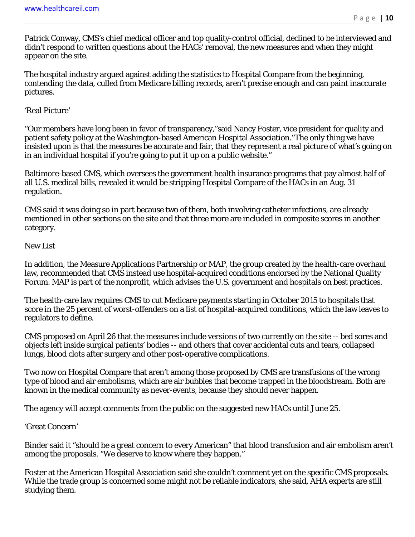Patrick Conway, CMS's chief medical officer and top quality-control official, declined to be interviewed and didn't respond to written questions about the HACs' removal, the new measures and when they might appear on the site.

The hospital industry argued against adding the statistics to Hospital Compare from the beginning, contending the data, culled from Medicare billing records, aren't precise enough and can paint inaccurate pictures.

#### 'Real Picture'

"Our members have long been in favor of transparency,"said Nancy Foster, vice president for quality and patient safety policy at the Washington-based American Hospital Association."The only thing we have insisted upon is that the measures be accurate and fair, that they represent a real picture of what's going on in an individual hospital if you're going to put it up on a public website."

Baltimore-based CMS, which oversees the government health insurance programs that pay almost half of all U.S. medical bills, revealed it would be stripping Hospital Compare of the HACs in an Aug. 31 regulation.

CMS said it was doing so in part because two of them, both involving catheter infections, are already mentioned in other sections on the site and that three more are included in composite scores in another category.

#### New List

In addition, the Measure Applications Partnership or MAP, the group created by the health-care overhaul law, recommended that CMS instead use hospital-acquired conditions endorsed by the National Quality Forum. MAP is part of the nonprofit, which advises the U.S. government and hospitals on best practices.

The health-care law requires CMS to cut Medicare payments starting in October 2015 to hospitals that score in the 25 percent of worst-offenders on a list of hospital-acquired conditions, which the law leaves to regulators to define.

CMS proposed on April 26 that the measures include versions of two currently on the site -- bed sores and objects left inside surgical patients' bodies -- and others that cover accidental cuts and tears, collapsed lungs, blood clots after surgery and other post-operative complications.

Two now on Hospital Compare that aren't among those proposed by CMS are transfusions of the wrong type of blood and air embolisms, which are air bubbles that become trapped in the bloodstream. Both are known in the medical community as never-events, because they should never happen.

The agency will accept comments from the public on the suggested new HACs until June 25.

#### 'Great Concern'

Binder said it "should be a great concern to every American" that blood transfusion and air embolism aren't among the proposals. "We deserve to know where they happen."

Foster at the American Hospital Association said she couldn't comment yet on the specific CMS proposals. While the trade group is concerned some might not be reliable indicators, she said, AHA experts are still studying them.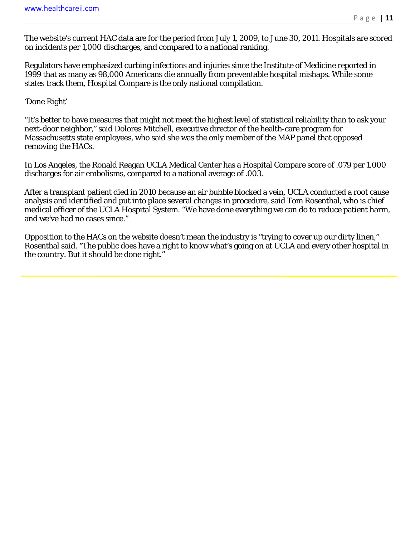The website's current HAC data are for the period from July 1, 2009, to June 30, 2011. Hospitals are scored on incidents per 1,000 discharges, and compared to a national ranking.

Regulators have emphasized curbing infections and injuries since the Institute of Medicine reported in 1999 that as many as 98,000 Americans die annually from preventable hospital mishaps. While some states track them, Hospital Compare is the only national compilation.

'Done Right'

"It's better to have measures that might not meet the highest level of statistical reliability than to ask your next-door neighbor," said Dolores Mitchell, executive director of the health-care program for Massachusetts state employees, who said she was the only member of the MAP panel that opposed removing the HACs.

In Los Angeles, the Ronald Reagan UCLA Medical Center has a Hospital Compare score of .079 per 1,000 discharges for air embolisms, compared to a national average of .003.

After a transplant patient died in 2010 because an air bubble blocked a vein, UCLA conducted a root cause analysis and identified and put into place several changes in procedure, said Tom Rosenthal, who is chief medical officer of the UCLA Hospital System. "We have done everything we can do to reduce patient harm, and we've had no cases since."

Opposition to the HACs on the website doesn't mean the industry is "trying to cover up our dirty linen," Rosenthal said. "The public does have a right to know what's going on at UCLA and every other hospital in the country. But it should be done right."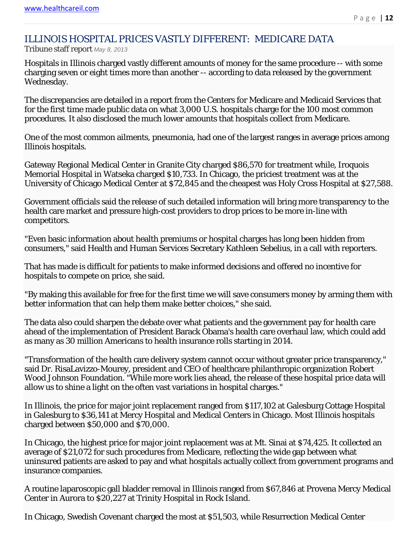## ILLINOIS HOSPITAL PRICES VASTLY DIFFERENT: MEDICARE DATA

Tribune staff report *May 8, 2013*

Hospitals in Illinois charged vastly different amounts of money for the same procedure -- with some charging seven or eight times more than another -- according to data released by the government Wednesday.

The discrepancies are detailed in a report from the Centers for Medicare and Medicaid Services that for the first time made public data on what 3,000 U.S. hospitals charge for the 100 most common procedures. It also disclosed the much lower amounts that hospitals collect from Medicare.

One of the most common ailments, pneumonia, had one of the largest ranges in average prices among Illinois hospitals.

Gateway Regional Medical Center in Granite City charged \$86,570 for treatment while, Iroquois Memorial Hospital in Watseka charged \$10,733. In Chicago, the priciest treatment was at the University of Chicago Medical Center at \$72,845 and the cheapest was Holy Cross Hospital at \$27,588.

Government officials said the release of such detailed information will bring more transparency to the health care market and pressure high-cost providers to drop prices to be more in-line with competitors.

"Even basic information about health premiums or hospital charges has long been hidden from consumers," said Health and Human Services Secretary Kathleen Sebelius, in a call with reporters.

That has made is difficult for patients to make informed decisions and offered no incentive for hospitals to compete on price, she said.

"By making this available for free for the first time we will save consumers money by arming them with better information that can help them make better choices," she said.

The data also could sharpen the debate over what patients and the government pay for health care ahead of the implementation of President Barack Obama's health care overhaul law, which could add as many as 30 million Americans to health insurance rolls starting in 2014.

"Transformation of the health care delivery system cannot occur without greater price transparency," said Dr. RisaLavizzo-Mourey, president and CEO of healthcare philanthropic organization Robert Wood Johnson Foundation. "While more work lies ahead, the release of these hospital price data will allow us to shine a light on the often vast variations in hospital charges."

In Illinois, the price for major joint replacement ranged from \$117,102 at Galesburg Cottage Hospital in Galesburg to \$36,141 at Mercy Hospital and Medical Centers in Chicago. Most Illinois hospitals charged between \$50,000 and \$70,000.

In Chicago, the highest price for major joint replacement was at Mt. Sinai at \$74,425. It collected an average of \$21,072 for such procedures from Medicare, reflecting the wide gap between what uninsured patients are asked to pay and what hospitals actually collect from government programs and insurance companies.

A routine laparoscopic gall bladder removal in Illinois ranged from \$67,846 at Provena Mercy Medical Center in Aurora to \$20,227 at Trinity Hospital in Rock Island.

In Chicago, Swedish Covenant charged the most at \$51,503, while Resurrection Medical Center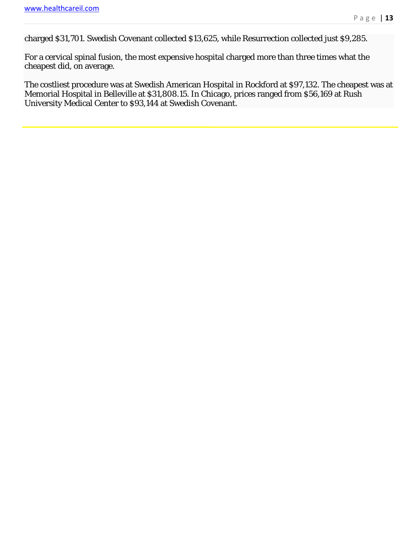charged \$31,701. Swedish Covenant collected \$13,625, while Resurrection collected just \$9,285.

For a cervical spinal fusion, the most expensive hospital charged more than three times what the cheapest did, on average.

The costliest procedure was at Swedish American Hospital in Rockford at \$97,132. The cheapest was at Memorial Hospital in Belleville at \$31,808.15. In Chicago, prices ranged from \$56,169 at Rush University Medical Center to \$93,144 at Swedish Covenant.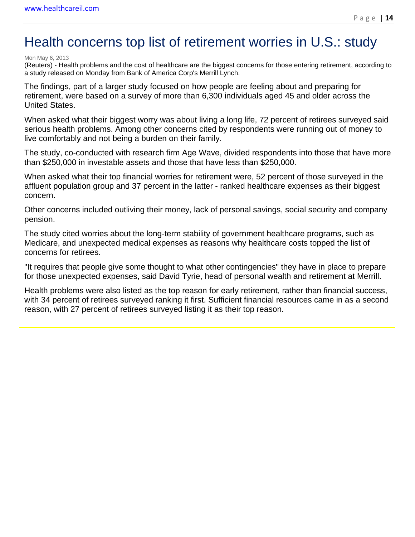## Health concerns top list of retirement worries in U.S.: study

#### Mon May 6, 2013

(Reuters) - Health problems and the cost of healthcare are the biggest concerns for those entering retirement, according to a study released on Monday from Bank of America Corp's Merrill Lynch.

The findings, part of a larger study focused on how people are feeling about and preparing for retirement, were based on a survey of more than 6,300 individuals aged 45 and older across the United States.

When asked what their biggest worry was about living a long life, 72 percent of retirees surveyed said serious health problems. Among other concerns cited by respondents were running out of money to live comfortably and not being a burden on their family.

The study, co-conducted with research firm Age Wave, divided respondents into those that have more than \$250,000 in investable assets and those that have less than \$250,000.

When asked what their top financial worries for retirement were, 52 percent of those surveyed in the affluent population group and 37 percent in the latter - ranked healthcare expenses as their biggest concern.

Other concerns included outliving their money, lack of personal savings, social security and company pension.

The study cited worries about the long-term stability of government healthcare programs, such as Medicare, and unexpected medical expenses as reasons why healthcare costs topped the list of concerns for retirees.

"It requires that people give some thought to what other contingencies" they have in place to prepare for those unexpected expenses, said David Tyrie, head of personal wealth and retirement at Merrill.

Health problems were also listed as the top reason for early retirement, rather than financial success, with 34 percent of retirees surveyed ranking it first. Sufficient financial resources came in as a second reason, with 27 percent of retirees surveyed listing it as their top reason.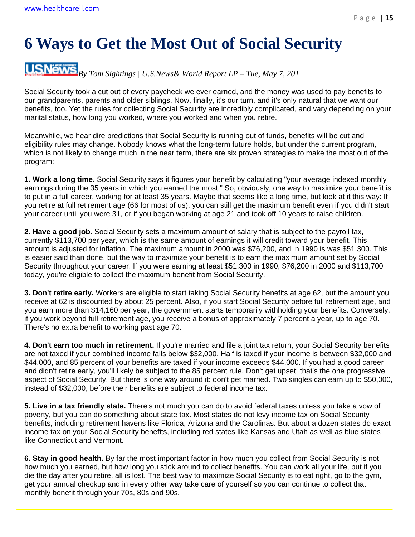Ĩ

## **6 Ways to Get the Most Out of Social Security**

## *By Tom Sightings | U.S.News& World Report LP – Tue, May 7, 201*

Social Security took a cut out of every paycheck we ever earned, and the money was used to pay benefits to our grandparents, parents and older siblings. Now, finally, it's our turn, and it's only natural that we want our benefits, too. Yet the rules for collecting Social Security are incredibly complicated, and vary depending on your marital status, how long you worked, where you worked and when you retire.

Meanwhile, we hear dire predictions that Social Security is running out of funds, benefits will be cut and eligibility rules may change. Nobody knows what the long-term future holds, but under the current program, which is not likely to change much in the near term, there are six proven strategies to make the most out of the program:

**1. Work a long time.** Social Security says it figures your benefit by calculating "your average indexed monthly earnings during the 35 years in which you earned the most." So, obviously, one way to maximize your benefit is to put in a full career, working for at least 35 years. Maybe that seems like a long time, but look at it this way: If you retire at full retirement age (66 for most of us), you can still get the maximum benefit even if you didn't start your career until you were 31, or if you began working at age 21 and took off 10 years to raise children.

**2. Have a good job.** Social Security sets a maximum amount of salary that is subject to the payroll tax, currently \$113,700 per year, which is the same amount of earnings it will credit toward your benefit. This amount is adjusted for inflation. The maximum amount in 2000 was \$76,200, and in 1990 is was \$51,300. This is easier said than done, but the way to maximize your benefit is to earn the maximum amount set by Social Security throughout your career. If you were earning at least \$51,300 in 1990, \$76,200 in 2000 and \$113,700 today, you're eligible to collect the maximum benefit from Social Security.

**3. Don't retire early.** Workers are eligible to start taking Social Security benefits at age 62, but the amount you receive at 62 is discounted by about 25 percent. Also, if you start Social Security before full retirement age, and you earn more than \$14,160 per year, the government starts temporarily withholding your benefits. Conversely, if you work beyond full retirement age, you receive a bonus of approximately 7 percent a year, up to age 70. There's no extra benefit to working past age 70.

**4. Don't earn too much in retirement.** If you're married and file a joint tax return, your Social Security benefits are not taxed if your combined income falls below \$32,000. Half is taxed if your income is between \$32,000 and \$44,000, and 85 percent of your benefits are taxed if your income exceeds \$44,000. If you had a good career and didn't retire early, you'll likely be subject to the 85 percent rule. Don't get upset; that's the one progressive aspect of Social Security. But there is one way around it: don't get married. Two singles can earn up to \$50,000, instead of \$32,000, before their benefits are subject to federal income tax.

**5. Live in a tax friendly state.** There's not much you can do to avoid federal taxes unless you take a vow of poverty, but you can do something about state tax. Most states do not levy income tax on Social Security benefits, including retirement havens like Florida, Arizona and the Carolinas. But about a dozen states do exact income tax on your Social Security benefits, including red states like Kansas and Utah as well as blue states like Connecticut and Vermont.

**6. Stay in good health.** By far the most important factor in how much you collect from Social Security is not how much you earned, but how long you stick around to collect benefits. You can work all your life, but if you die the day after you retire, all is lost. The best way to maximize Social Security is to eat right, go to the gym, get your annual checkup and in every other way take care of yourself so you can continue to collect that monthly benefit through your 70s, 80s and 90s.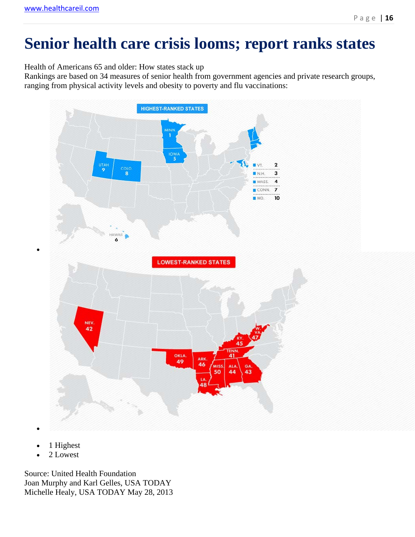## **Senior health care crisis looms; report ranks states**

Health of Americans 65 and older: How states stack up

Rankings are based on 34 measures of senior health from government agencies and private research groups, ranging from physical activity levels and obesity to poverty and flu vaccinations:



- 1 Highest
- 2 Lowest

Source: United Health Foundation Joan Murphy and Karl Gelles, USA TODAY Michelle Healy, USA TODAY May 28, 2013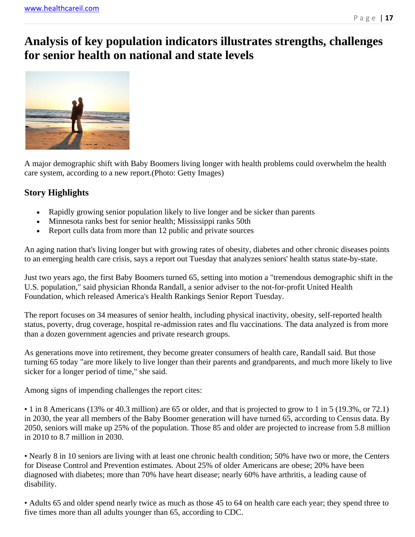## **Analysis of key population indicators illustrates strengths, challenges for senior health on national and state levels**



A major demographic shift with Baby Boomers living longer with health problems could overwhelm the health care system, according to a new report.(Photo: Getty Images)

## **Story Highlights**

- Rapidly growing senior population likely to live longer and be sicker than parents
- Minnesota ranks best for senior health; Mississippi ranks 50th
- Report culls data from more than 12 public and private sources

An aging nation that's living longer but with growing rates of obesity, diabetes and other chronic diseases points to an emerging health care crisis, says a report out Tuesday that analyzes seniors' health status state-by-state.

Just two years ago, the first Baby Boomers turned 65, setting into motion a "tremendous demographic shift in the U.S. population," said physician Rhonda Randall, a senior adviser to the not-for-profit United Health Foundation, which released America's Health Rankings Senior Report Tuesday.

The report focuses on 34 measures of senior health, including physical inactivity, obesity, self-reported health status, poverty, drug coverage, hospital re-admission rates and flu vaccinations. The data analyzed is from more than a dozen government agencies and private research groups.

As generations move into retirement, they become greater consumers of health care, Randall said. But those turning 65 today "are more likely to live longer than their parents and grandparents, and much more likely to live sicker for a longer period of time," she said.

Among signs of impending challenges the report cites:

• 1 in 8 Americans (13% or 40.3 million) are 65 or older, and that is projected to grow to 1 in 5 (19.3%, or 72.1) in 2030, the year all members of the Baby Boomer generation will have turned 65, according to Census data. By 2050, seniors will make up 25% of the population. Those 85 and older are projected to increase from 5.8 million in 2010 to 8.7 million in 2030.

• Nearly 8 in 10 seniors are living with at least one chronic health condition; 50% have two or more, the Centers for Disease Control and Prevention estimates. About 25% of older Americans are obese; 20% have been diagnosed with diabetes; more than 70% have heart disease; nearly 60% have arthritis, a leading cause of disability.

• Adults 65 and older spend nearly twice as much as those 45 to 64 on health care each year; they spend three to five times more than all adults younger than 65, according to CDC.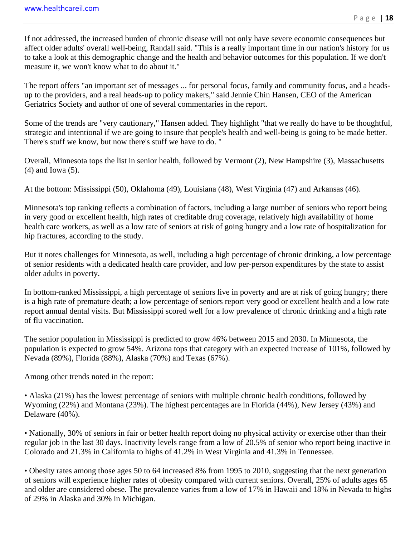If not addressed, the increased burden of chronic disease will not only have severe economic consequences but affect older adults' overall well-being, Randall said. "This is a really important time in our nation's history for us to take a look at this demographic change and the health and behavior outcomes for this population. If we don't measure it, we won't know what to do about it."

The report offers "an important set of messages ... for personal focus, family and community focus, and a headsup to the providers, and a real heads-up to policy makers," said Jennie Chin Hansen, CEO of the American Geriatrics Society and author of one of several commentaries in the report.

Some of the trends are "very cautionary," Hansen added. They highlight "that we really do have to be thoughtful, strategic and intentional if we are going to insure that people's health and well-being is going to be made better. There's stuff we know, but now there's stuff we have to do. "

Overall, Minnesota tops the list in senior health, followed by Vermont (2), New Hampshire (3), Massachusetts (4) and Iowa (5).

At the bottom: Mississippi (50), Oklahoma (49), Louisiana (48), West Virginia (47) and Arkansas (46).

Minnesota's top ranking reflects a combination of factors, including a large number of seniors who report being in very good or excellent health, high rates of creditable drug coverage, relatively high availability of home health care workers, as well as a low rate of seniors at risk of going hungry and a low rate of hospitalization for hip fractures, according to the study.

But it notes challenges for Minnesota, as well, including a high percentage of chronic drinking, a low percentage of senior residents with a dedicated health care provider, and low per-person expenditures by the state to assist older adults in poverty.

In bottom-ranked Mississippi, a high percentage of seniors live in poverty and are at risk of going hungry; there is a high rate of premature death; a low percentage of seniors report very good or excellent health and a low rate report annual dental visits. But Mississippi scored well for a low prevalence of chronic drinking and a high rate of flu vaccination.

The senior population in Mississippi is predicted to grow 46% between 2015 and 2030. In Minnesota, the population is expected to grow 54%. Arizona tops that category with an expected increase of 101%, followed by Nevada (89%), Florida (88%), Alaska (70%) and Texas (67%).

Among other trends noted in the report:

• Alaska (21%) has the lowest percentage of seniors with multiple chronic health conditions, followed by Wyoming (22%) and Montana (23%). The highest percentages are in Florida (44%), New Jersey (43%) and Delaware (40%).

• Nationally, 30% of seniors in fair or better health report doing no physical activity or exercise other than their regular job in the last 30 days. Inactivity levels range from a low of 20.5% of senior who report being inactive in Colorado and 21.3% in California to highs of 41.2% in West Virginia and 41.3% in Tennessee.

• Obesity rates among those ages 50 to 64 increased 8% from 1995 to 2010, suggesting that the next generation of seniors will experience higher rates of obesity compared with current seniors. Overall, 25% of adults ages 65 and older are considered obese. The prevalence varies from a low of 17% in Hawaii and 18% in Nevada to highs of 29% in Alaska and 30% in Michigan.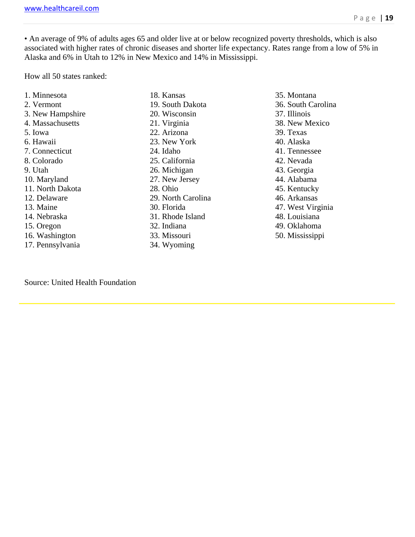• An average of 9% of adults ages 65 and older live at or below recognized poverty thresholds, which is also associated with higher rates of chronic diseases and shorter life expectancy. Rates range from a low of 5% in Alaska and 6% in Utah to 12% in New Mexico and 14% in Mississippi.

How all 50 states ranked:

- 1. Minnesota 2. Vermont 3. New Hampshire 4. Massachusetts 5. Iowa 6. Hawaii 7. Connecticut 8. Colorado 9. Utah 10. Maryland 11. North Dakota 12. Delaware 13. Maine 14. Nebraska 15. Oregon 16. Washington 17. Pennsylvania
- 18. Kansas 19. South Dakota 20. Wisconsin 21. Virginia 22. Arizona 23. New York 24. Idaho 25. California 26. Michigan 27. New Jersey 28. Ohio 29. North Carolina 30. Florida 31. Rhode Island 32. Indiana 33. Missouri 34. Wyoming
- 35. Montana
- 36. South Carolina
- 37. Illinois
- 38. New Mexico
- 39. Texas
- 40. Alaska
- 41. Tennessee
- 42. Nevada
- 43. Georgia
- 44. Alabama
- 45. Kentucky
- 46. Arkansas
- 47. West Virginia
- 48. Louisiana
- 49. Oklahoma
- 50. Mississippi

Source: United Health Foundation

l,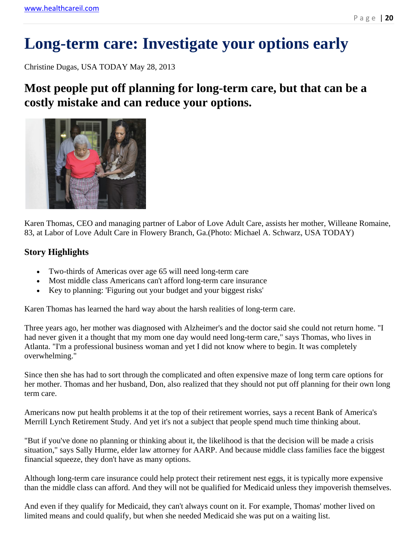## **Long-term care: Investigate your options early**

Christine Dugas, USA TODAY May 28, 2013

## **Most people put off planning for long-term care, but that can be a costly mistake and can reduce your options.**



Karen Thomas, CEO and managing partner of Labor of Love Adult Care, assists her mother, Willeane Romaine, 83, at Labor of Love Adult Care in Flowery Branch, Ga.(Photo: Michael A. Schwarz, USA TODAY)

### **Story Highlights**

- Two-thirds of Americas over age 65 will need long-term care
- Most middle class Americans can't afford long-term care insurance
- Key to planning: 'Figuring out your budget and your biggest risks'

Karen Thomas has learned the hard way about the harsh realities of long-term care.

Three years ago, her mother was diagnosed with Alzheimer's and the doctor said she could not return home. "I had never given it a thought that my mom one day would need long-term care," says Thomas, who lives in Atlanta. "I'm a professional business woman and yet I did not know where to begin. It was completely overwhelming."

Since then she has had to sort through the complicated and often expensive maze of long term care options for her mother. Thomas and her husband, Don, also realized that they should not put off planning for their own long term care.

Americans now put health problems it at the top of their retirement worries, says a recent Bank of America's Merrill Lynch Retirement Study. And yet it's not a subject that people spend much time thinking about.

"But if you've done no planning or thinking about it, the likelihood is that the decision will be made a crisis situation," says Sally Hurme, elder law attorney for AARP. And because middle class families face the biggest financial squeeze, they don't have as many options.

Although long-term care insurance could help protect their retirement nest eggs, it is typically more expensive than the middle class can afford. And they will not be qualified for Medicaid unless they impoverish themselves.

And even if they qualify for Medicaid, they can't always count on it. For example, Thomas' mother lived on limited means and could qualify, but when she needed Medicaid she was put on a waiting list.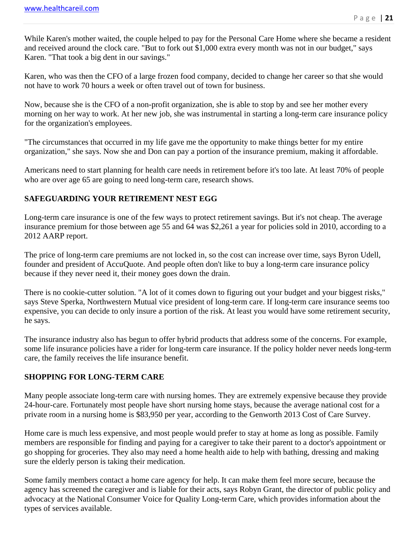While Karen's mother waited, the couple helped to pay for the Personal Care Home where she became a resident and received around the clock care. "But to fork out \$1,000 extra every month was not in our budget," says Karen. "That took a big dent in our savings."

Karen, who was then the CFO of a large frozen food company, decided to change her career so that she would not have to work 70 hours a week or often travel out of town for business.

Now, because she is the CFO of a non-profit organization, she is able to stop by and see her mother every morning on her way to work. At her new job, she was instrumental in starting a long-term care insurance policy for the organization's employees.

"The circumstances that occurred in my life gave me the opportunity to make things better for my entire organization," she says. Now she and Don can pay a portion of the insurance premium, making it affordable.

Americans need to start planning for health care needs in retirement before it's too late. At least 70% of people who are over age 65 are going to need long-term care, research shows.

#### **SAFEGUARDING YOUR RETIREMENT NEST EGG**

Long-term care insurance is one of the few ways to protect retirement savings. But it's not cheap. The average insurance premium for those between age 55 and 64 was \$2,261 a year for policies sold in 2010, according to a 2012 AARP report.

The price of long-term care premiums are not locked in, so the cost can increase over time, says Byron Udell, founder and president of AccuQuote. And people often don't like to buy a long-term care insurance policy because if they never need it, their money goes down the drain.

There is no cookie-cutter solution. "A lot of it comes down to figuring out your budget and your biggest risks," says Steve Sperka, Northwestern Mutual vice president of long-term care. If long-term care insurance seems too expensive, you can decide to only insure a portion of the risk. At least you would have some retirement security, he says.

The insurance industry also has begun to offer hybrid products that address some of the concerns. For example, some life insurance policies have a rider for long-term care insurance. If the policy holder never needs long-term care, the family receives the life insurance benefit.

#### **SHOPPING FOR LONG-TERM CARE**

Many people associate long-term care with nursing homes. They are extremely expensive because they provide 24-hour-care. Fortunately most people have short nursing home stays, because the average national cost for a private room in a nursing home is \$83,950 per year, according to the Genworth 2013 Cost of Care Survey.

Home care is much less expensive, and most people would prefer to stay at home as long as possible. Family members are responsible for finding and paying for a caregiver to take their parent to a doctor's appointment or go shopping for groceries. They also may need a home health aide to help with bathing, dressing and making sure the elderly person is taking their medication.

Some family members contact a home care agency for help. It can make them feel more secure, because the agency has screened the caregiver and is liable for their acts, says Robyn Grant, the director of public policy and advocacy at the National Consumer Voice for Quality Long-term Care, which provides information about the types of services available.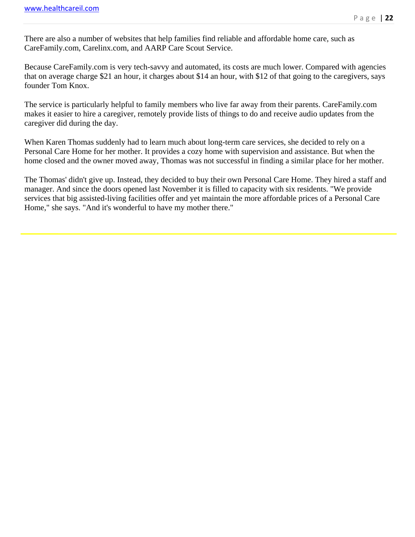There are also a number of websites that help families find reliable and affordable home care, such as CareFamily.com, Carelinx.com, and AARP Care Scout Service.

Because CareFamily.com is very tech-savvy and automated, its costs are much lower. Compared with agencies that on average charge \$21 an hour, it charges about \$14 an hour, with \$12 of that going to the caregivers, says founder Tom Knox.

The service is particularly helpful to family members who live far away from their parents. CareFamily.com makes it easier to hire a caregiver, remotely provide lists of things to do and receive audio updates from the caregiver did during the day.

When Karen Thomas suddenly had to learn much about long-term care services, she decided to rely on a Personal Care Home for her mother. It provides a cozy home with supervision and assistance. But when the home closed and the owner moved away, Thomas was not successful in finding a similar place for her mother.

The Thomas' didn't give up. Instead, they decided to buy their own Personal Care Home. They hired a staff and manager. And since the doors opened last November it is filled to capacity with six residents. "We provide services that big assisted-living facilities offer and yet maintain the more affordable prices of a Personal Care Home," she says. "And it's wonderful to have my mother there."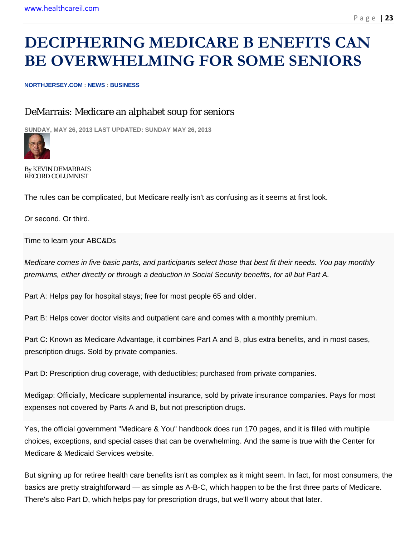## **DECIPHERING MEDICARE B ENEFITS CAN BE OVERWHELMING FOR SOME SENIORS**

**NORTHJERSEY.COM : NEWS : BUSINESS**

## DeMarrais: Medicare an alphabet soup for seniors

**SUNDAY, MAY 26, 2013 LAST UPDATED: SUNDAY MAY 26, 2013** 



By KEVIN DEMARRAIS RECORD COLUMNIST

The rules can be complicated, but Medicare really isn't as confusing as it seems at first look.

Or second. Or third.

Time to learn your ABC&Ds

*Medicare comes in five basic parts, and participants select those that best fit their needs. You pay monthly premiums, either directly or through a deduction in Social Security benefits, for all but Part A.*

Part A: Helps pay for hospital stays; free for most people 65 and older.

Part B: Helps cover doctor visits and outpatient care and comes with a monthly premium.

Part C: Known as Medicare Advantage, it combines Part A and B, plus extra benefits, and in most cases, prescription drugs. Sold by private companies.

Part D: Prescription drug coverage, with deductibles; purchased from private companies.

Medigap: Officially, Medicare supplemental insurance, sold by private insurance companies. Pays for most expenses not covered by Parts A and B, but not prescription drugs.

Yes, the official government "Medicare & You" handbook does run 170 pages, and it is filled with multiple choices, exceptions, and special cases that can be overwhelming. And the same is true with the Center for Medicare & Medicaid Services website.

But signing up for retiree health care benefits isn't as complex as it might seem. In fact, for most consumers, the basics are pretty straightforward — as simple as A-B-C, which happen to be the first three parts of Medicare. There's also Part D, which helps pay for prescription drugs, but we'll worry about that later.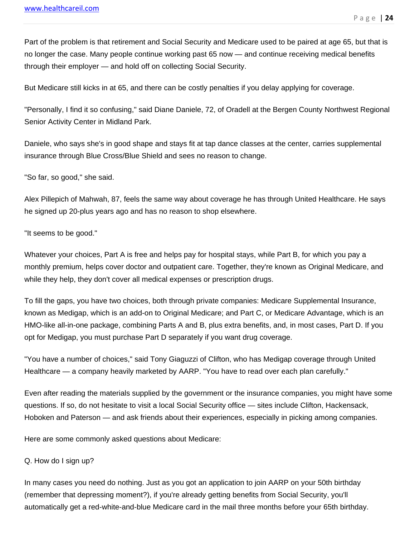Part of the problem is that retirement and Social Security and Medicare used to be paired at age 65, but that is no longer the case. Many people continue working past 65 now — and continue receiving medical benefits through their employer — and hold off on collecting Social Security.

But Medicare still kicks in at 65, and there can be costly penalties if you delay applying for coverage.

"Personally, I find it so confusing," said Diane Daniele, 72, of Oradell at the Bergen County Northwest Regional Senior Activity Center in Midland Park.

Daniele, who says she's in good shape and stays fit at tap dance classes at the center, carries supplemental insurance through Blue Cross/Blue Shield and sees no reason to change.

"So far, so good," she said.

Alex Pillepich of Mahwah, 87, feels the same way about coverage he has through United Healthcare. He says he signed up 20-plus years ago and has no reason to shop elsewhere.

"It seems to be good."

Whatever your choices, Part A is free and helps pay for hospital stays, while Part B, for which you pay a monthly premium, helps cover doctor and outpatient care. Together, they're known as Original Medicare, and while they help, they don't cover all medical expenses or prescription drugs.

To fill the gaps, you have two choices, both through private companies: Medicare Supplemental Insurance, known as Medigap, which is an add-on to Original Medicare; and Part C, or Medicare Advantage, which is an HMO-like all-in-one package, combining Parts A and B, plus extra benefits, and, in most cases, Part D. If you opt for Medigap, you must purchase Part D separately if you want drug coverage.

"You have a number of choices," said Tony Giaguzzi of Clifton, who has Medigap coverage through United Healthcare — a company heavily marketed by AARP. "You have to read over each plan carefully."

Even after reading the materials supplied by the government or the insurance companies, you might have some questions. If so, do not hesitate to visit a local Social Security office — sites include Clifton, Hackensack, Hoboken and Paterson — and ask friends about their experiences, especially in picking among companies.

Here are some commonly asked questions about Medicare:

#### Q. How do I sign up?

In many cases you need do nothing. Just as you got an application to join AARP on your 50th birthday (remember that depressing moment?), if you're already getting benefits from Social Security, you'll automatically get a red-white-and-blue Medicare card in the mail three months before your 65th birthday.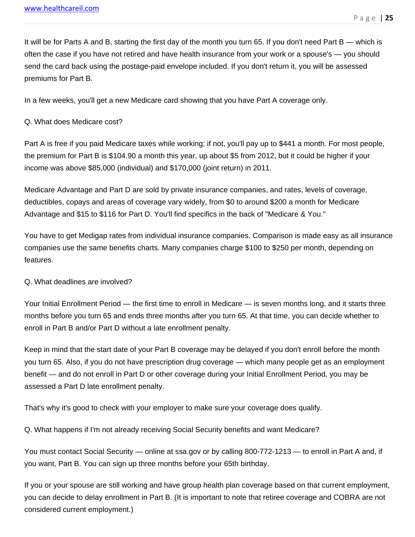It will be for Parts A and B, starting the first day of the month you turn 65. If you don't need Part B — which is often the case if you have not retired and have health insurance from your work or a spouse's — you should send the card back using the postage-paid envelope included. If you don't return it, you will be assessed premiums for Part B.

In a few weeks, you'll get a new Medicare card showing that you have Part A coverage only.

#### Q. What does Medicare cost?

Part A is free if you paid Medicare taxes while working; if not, you'll pay up to \$441 a month. For most people, the premium for Part B is \$104.90 a month this year, up about \$5 from 2012, but it could be higher if your income was above \$85,000 (individual) and \$170,000 (joint return) in 2011.

Medicare Advantage and Part D are sold by private insurance companies, and rates, levels of coverage, deductibles, copays and areas of coverage vary widely, from \$0 to around \$200 a month for Medicare Advantage and \$15 to \$116 for Part D. You'll find specifics in the back of "Medicare & You."

You have to get Medigap rates from individual insurance companies. Comparison is made easy as all insurance companies use the same benefits charts. Many companies charge \$100 to \$250 per month, depending on features.

#### Q. What deadlines are involved?

Your Initial Enrollment Period — the first time to enroll in Medicare — is seven months long, and it starts three months before you turn 65 and ends three months after you turn 65. At that time, you can decide whether to enroll in Part B and/or Part D without a late enrollment penalty.

Keep in mind that the start date of your Part B coverage may be delayed if you don't enroll before the month you turn 65. Also, if you do not have prescription drug coverage — which many people get as an employment benefit — and do not enroll in Part D or other coverage during your Initial Enrollment Period, you may be assessed a Part D late enrollment penalty.

That's why it's good to check with your employer to make sure your coverage does qualify.

Q. What happens if I'm not already receiving Social Security benefits and want Medicare?

You must contact Social Security — online at ssa.gov or by calling 800-772-1213 — to enroll in Part A and, if you want, Part B. You can sign up three months before your 65th birthday.

If you or your spouse are still working and have group health plan coverage based on that current employment, you can decide to delay enrollment in Part B. (It is important to note that retiree coverage and COBRA are not considered current employment.)